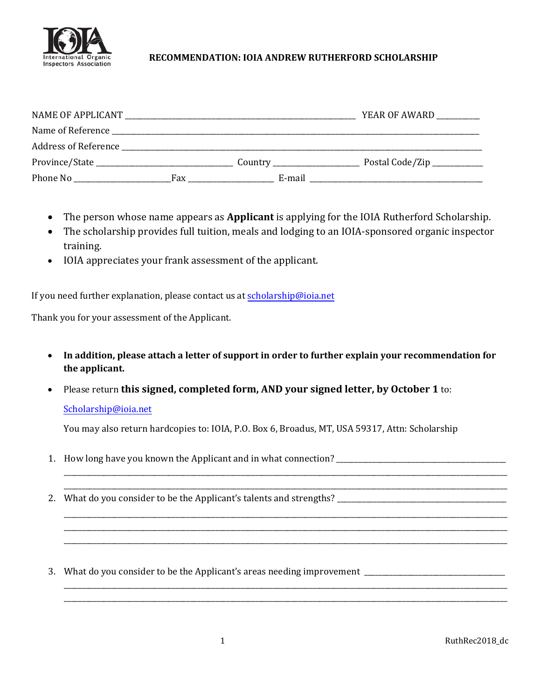

## **RECOMMENDATION: IOIA ANDREW RUTHERFORD SCHOLARSHIP**

|                      |                                                                                           |        | YEAR OF AWARD              |
|----------------------|-------------------------------------------------------------------------------------------|--------|----------------------------|
| Name of Reference    |                                                                                           |        |                            |
| Address of Reference | the control of the control of the control of the control of the control of the control of |        |                            |
|                      |                                                                                           |        | Postal Code/Zip __________ |
| Phone No             | Fax                                                                                       | E-mail |                            |

- The person whose name appears as **Applicant** is applying for the IOIA Rutherford Scholarship.
- The scholarship provides full tuition, meals and lodging to an IOIA-sponsored organic inspector training.
- IOIA appreciates your frank assessment of the applicant.

If you need further explanation, please contact us at [scholarship@ioia.net](mailto:scholarship@ioia.net)

Thank you for your assessment of the Applicant.

- **In addition, please attach a letter of support in order to further explain your recommendation for the applicant.**
- Please return **this signed, completed form, AND your signed letter, by October 1** to:

## [Scholarship@ioia.net](mailto:scholarship@ioia.net)

You may also return hardcopies to: IOIA, P.O. Box 6, Broadus, MT, USA 59317, Attn: Scholarship

1. How long have you known the Applicant and in what connection?

\_\_\_\_\_\_\_\_\_\_\_\_\_\_\_\_\_\_\_\_\_\_\_\_\_\_\_\_\_\_\_\_\_\_\_\_\_\_\_\_\_\_\_\_\_\_\_\_\_\_\_\_\_\_\_\_\_\_\_\_\_\_\_\_\_\_\_\_\_\_\_\_\_\_\_\_\_\_\_\_\_\_\_\_\_\_\_\_\_\_\_\_\_\_\_\_\_\_\_\_\_\_\_\_\_\_\_\_\_\_\_\_\_\_\_\_\_\_\_\_\_\_\_ \_\_\_\_\_\_\_\_\_\_\_\_\_\_\_\_\_\_\_\_\_\_\_\_\_\_\_\_\_\_\_\_\_\_\_\_\_\_\_\_\_\_\_\_\_\_\_\_\_\_\_\_\_\_\_\_\_\_\_\_\_\_\_\_\_\_\_\_\_\_\_\_\_\_\_\_\_\_\_\_\_\_\_\_\_\_\_\_\_\_\_\_\_\_\_\_\_\_\_\_\_\_\_\_\_\_\_\_\_\_\_\_\_\_\_\_\_\_\_\_\_\_\_

\_\_\_\_\_\_\_\_\_\_\_\_\_\_\_\_\_\_\_\_\_\_\_\_\_\_\_\_\_\_\_\_\_\_\_\_\_\_\_\_\_\_\_\_\_\_\_\_\_\_\_\_\_\_\_\_\_\_\_\_\_\_\_\_\_\_\_\_\_\_\_\_\_\_\_\_\_\_\_\_\_\_\_\_\_\_\_\_\_\_\_\_\_\_\_\_\_\_\_\_\_\_\_\_\_\_\_\_\_\_\_\_\_\_\_\_\_\_\_\_\_\_\_ \_\_\_\_\_\_\_\_\_\_\_\_\_\_\_\_\_\_\_\_\_\_\_\_\_\_\_\_\_\_\_\_\_\_\_\_\_\_\_\_\_\_\_\_\_\_\_\_\_\_\_\_\_\_\_\_\_\_\_\_\_\_\_\_\_\_\_\_\_\_\_\_\_\_\_\_\_\_\_\_\_\_\_\_\_\_\_\_\_\_\_\_\_\_\_\_\_\_\_\_\_\_\_\_\_\_\_\_\_\_\_\_\_\_\_\_\_\_\_\_\_\_\_ \_\_\_\_\_\_\_\_\_\_\_\_\_\_\_\_\_\_\_\_\_\_\_\_\_\_\_\_\_\_\_\_\_\_\_\_\_\_\_\_\_\_\_\_\_\_\_\_\_\_\_\_\_\_\_\_\_\_\_\_\_\_\_\_\_\_\_\_\_\_\_\_\_\_\_\_\_\_\_\_\_\_\_\_\_\_\_\_\_\_\_\_\_\_\_\_\_\_\_\_\_\_\_\_\_\_\_\_\_\_\_\_\_\_\_\_\_\_\_\_\_\_\_

\_\_\_\_\_\_\_\_\_\_\_\_\_\_\_\_\_\_\_\_\_\_\_\_\_\_\_\_\_\_\_\_\_\_\_\_\_\_\_\_\_\_\_\_\_\_\_\_\_\_\_\_\_\_\_\_\_\_\_\_\_\_\_\_\_\_\_\_\_\_\_\_\_\_\_\_\_\_\_\_\_\_\_\_\_\_\_\_\_\_\_\_\_\_\_\_\_\_\_\_\_\_\_\_\_\_\_\_\_\_\_\_\_\_\_\_\_\_\_\_\_\_\_ \_\_\_\_\_\_\_\_\_\_\_\_\_\_\_\_\_\_\_\_\_\_\_\_\_\_\_\_\_\_\_\_\_\_\_\_\_\_\_\_\_\_\_\_\_\_\_\_\_\_\_\_\_\_\_\_\_\_\_\_\_\_\_\_\_\_\_\_\_\_\_\_\_\_\_\_\_\_\_\_\_\_\_\_\_\_\_\_\_\_\_\_\_\_\_\_\_\_\_\_\_\_\_\_\_\_\_\_\_\_\_\_\_\_\_\_\_\_\_\_\_\_\_

- 2. What do you consider to be the Applicant's talents and strengths? \_\_\_\_\_\_\_\_\_\_\_\_\_\_\_\_\_\_\_\_\_\_\_\_\_\_\_\_\_\_\_\_\_\_\_\_\_\_\_\_\_\_\_\_\_\_\_
- 3. What do you consider to be the Applicant's areas needing improvement \_\_\_\_\_\_\_\_\_\_\_\_\_\_\_\_\_\_\_\_\_\_\_\_\_\_\_\_